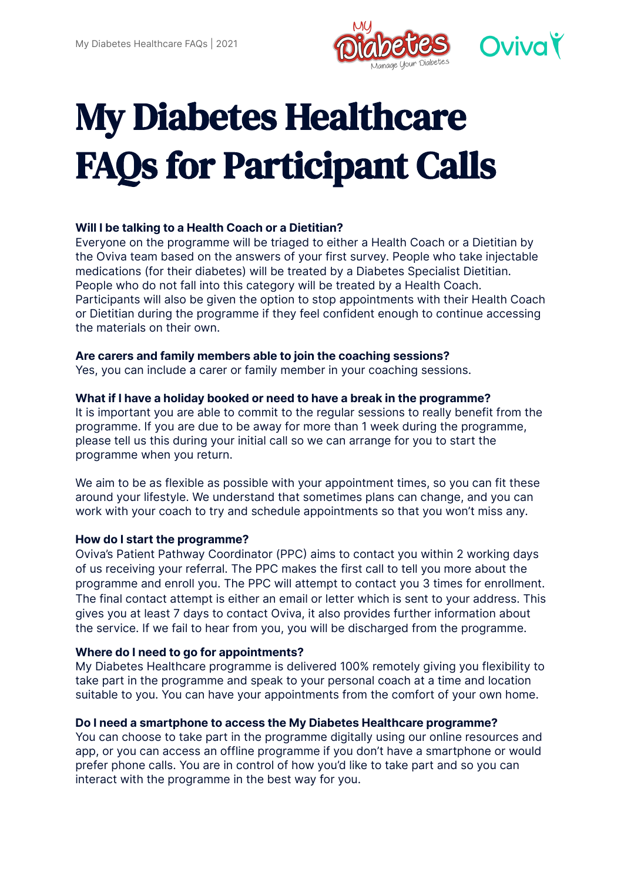

# My Diabetes Healthcare FAQs for Participant Calls

# **Will I be talking to a Health Coach or a Dietitian?**

Everyone on the programme will be triaged to either a Health Coach or a Dietitian by the Oviva team based on the answers of your first survey. People who take injectable medications (for their diabetes) will be treated by a Diabetes Specialist Dietitian. People who do not fall into this category will be treated by a Health Coach. Participants will also be given the option to stop appointments with their Health Coach or Dietitian during the programme if they feel confident enough to continue accessing the materials on their own.

## **Are carers and family members able to join the coaching sessions?**

Yes, you can include a carer or family member in your coaching sessions.

## **What if I have a holiday booked or need to have a break in the programme?**

It is important you are able to commit to the regular sessions to really benefit from the programme. If you are due to be away for more than 1 week during the programme, please tell us this during your initial call so we can arrange for you to start the programme when you return.

We aim to be as flexible as possible with your appointment times, so you can fit these around your lifestyle. We understand that sometimes plans can change, and you can work with your coach to try and schedule appointments so that you won't miss any.

## **How do I start the programme?**

Oviva's Patient Pathway Coordinator (PPC) aims to contact you within 2 working days of us receiving your referral. The PPC makes the first call to tell you more about the programme and enroll you. The PPC will attempt to contact you 3 times for enrollment. The final contact attempt is either an email or letter which is sent to your address. This gives you at least 7 days to contact Oviva, it also provides further information about the service. If we fail to hear from you, you will be discharged from the programme.

# **Where do I need to go for appointments?**

My Diabetes Healthcare programme is delivered 100% remotely giving you flexibility to take part in the programme and speak to your personal coach at a time and location suitable to you. You can have your appointments from the comfort of your own home.

# **Do I need a smartphone to access the My Diabetes Healthcare programme?**

You can choose to take part in the programme digitally using our online resources and app, or you can access an offline programme if you don't have a smartphone or would prefer phone calls. You are in control of how you'd like to take part and so you can interact with the programme in the best way for you.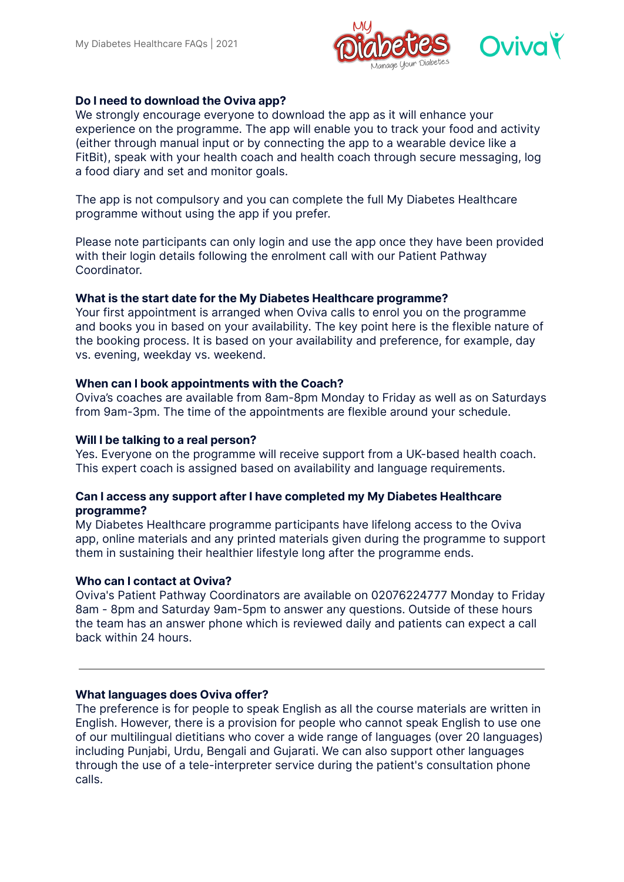

## **Do I need to download the Oviva app?**

We strongly encourage everyone to download the app as it will enhance your experience on the programme. The app will enable you to track your food and activity (either through manual input or by connecting the app to a wearable device like a FitBit), speak with your health coach and health coach through secure messaging, log a food diary and set and monitor goals.

The app is not compulsory and you can complete the full My Diabetes Healthcare programme without using the app if you prefer.

Please note participants can only login and use the app once they have been provided with their login details following the enrolment call with our Patient Pathway Coordinator.

#### **What is the start date for the My Diabetes Healthcare programme?**

Your first appointment is arranged when Oviva calls to enrol you on the programme and books you in based on your availability. The key point here is the flexible nature of the booking process. It is based on your availability and preference, for example, day vs. evening, weekday vs. weekend.

#### **When can I book appointments with the Coach?**

Oviva's coaches are available from 8am-8pm Monday to Friday as well as on Saturdays from 9am-3pm. The time of the appointments are flexible around your schedule.

#### **Will I be talking to a real person?**

Yes. Everyone on the programme will receive support from a UK-based health coach. This expert coach is assigned based on availability and language requirements.

#### **Can I access any support after I have completed my My Diabetes Healthcare programme?**

My Diabetes Healthcare programme participants have lifelong access to the Oviva app, online materials and any printed materials given during the programme to support them in sustaining their healthier lifestyle long after the programme ends.

#### **Who can I contact at Oviva?**

Oviva's Patient Pathway Coordinators are available on 02076224777 Monday to Friday 8am - 8pm and Saturday 9am-5pm to answer any questions. Outside of these hours the team has an answer phone which is reviewed daily and patients can expect a call back within 24 hours.

#### **What languages does Oviva offer?**

The preference is for people to speak English as all the course materials are written in English. However, there is a provision for people who cannot speak English to use one of our multilingual dietitians who cover a wide range of languages (over 20 languages) including Punjabi, Urdu, Bengali and Gujarati. We can also support other languages through the use of a tele-interpreter service during the patient's consultation phone calls.